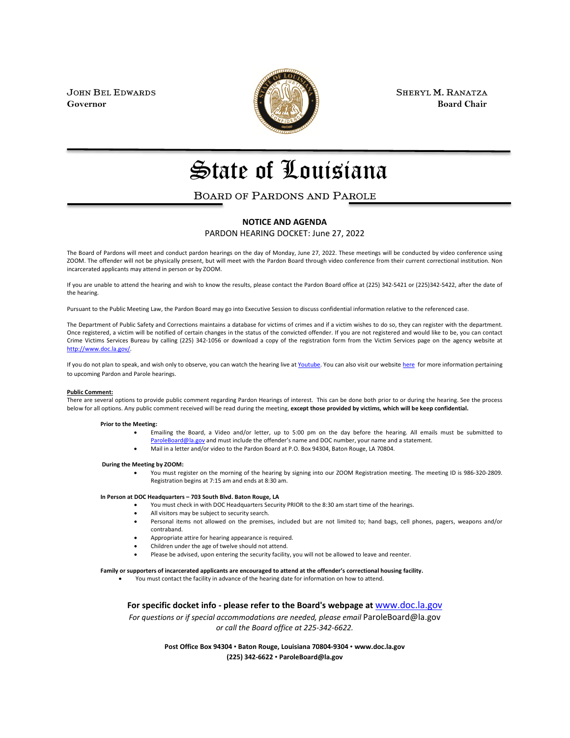

JOHN BEL EDWARDS **SHERYL M. RANATZA SHERYL M. RANATZA Governor** Board Chair **Board Chair Board Chair Board Chair** 

# State of Louisiana

### BOARD OF PARDONS AND PAROLE

#### **NOTICE AND AGENDA**

PARDON HEARING DOCKET: June 27, 2022

The Board of Pardons will meet and conduct pardon hearings on the day of Monday, June 27, 2022. These meetings will be conducted by video conference using ZOOM. The offender will not be physically present, but will meet with the Pardon Board through video conference from their current correctional institution. Non incarcerated applicants may attend in person or by ZOOM.

If you are unable to attend the hearing and wish to know the results, please contact the Pardon Board office at (225) 342-5421 or (225)342-5422, after the date of the hearing.

Pursuant to the Public Meeting Law, the Pardon Board may go into Executive Session to discuss confidential information relative to the referenced case.

The Department of Public Safety and Corrections maintains a database for victims of crimes and if a victim wishes to do so, they can register with the department. Once registered, a victim will be notified of certain changes in the status of the convicted offender. If you are not registered and would like to be, you can contact Crime Victims Services Bureau by calling (225) 342-1056 or download a copy of the registration form from the Victim Services page on the agency website at [http://www.doc.la.gov/.](http://www.doc.la.gov/)

If you do not plan to speak, and wish only to observe, you can watch the hearing live a[t Youtube.](https://www.youtube.com/channel/UCoYjTgNSdFFqnSnuu1Wi3fg/live) You can also visit our websit[e here](https://doc.louisiana.gov/imprisoned-person-programs-resources/pardons-parole/) for more information pertaining to upcoming Pardon and Parole hearings.

#### **Public Comment:**

There are several options to provide public comment regarding Pardon Hearings of interest. This can be done both prior to or during the hearing. See the process below for all options. Any public comment received will be read during the meeting, **except those provided by victims, which will be keep confidential.**

#### **Prior to the Meeting:**

- Emailing the Board, a Video and/or letter, up to 5:00 pm on the day before the hearing. All emails must be submitted to [ParoleBoard@la.gov](mailto:ParoleBoard@la.gov) and must include the offender's name and DOC number, your name and a statement.
- Mail in a letter and/or video to the Pardon Board at P.O. Box 94304, Baton Rouge, LA 70804.

#### **During the Meeting by ZOOM:**

• You must register on the morning of the hearing by signing into our ZOOM Registration meeting. The meeting ID is 986-320-2809. Registration begins at 7:15 am and ends at 8:30 am.

#### **In Person at DOC Headquarters – 703 South Blvd. Baton Rouge, LA**

- You must check in with DOC Headquarters Security PRIOR to the 8:30 am start time of the hearings.
- All visitors may be subject to security search.
- Personal items not allowed on the premises, included but are not limited to; hand bags, cell phones, pagers, weapons and/or contraband.
- Appropriate attire for hearing appearance is required.
- Children under the age of twelve should not attend.
- Please be advised, upon entering the security facility, you will not be allowed to leave and reenter.

#### **Family or supporters of incarcerated applicants are encouraged to attend at the offender's correctional housing facility.**

• You must contact the facility in advance of the hearing date for information on how to attend.

**For specific docket info - please refer to the Board's webpage at** [www.doc.la.gov](http://www.doc.la.gov/)

*For questions or if special accommodations are needed, please email* ParoleBoard@la.gov *or call the Board office at 225-342-6622.*

> **Post Office Box 94304** • **Baton Rouge, Louisiana 70804-9304** • **www.doc.la.gov (225) 342-6622** • **ParoleBoard@la.gov**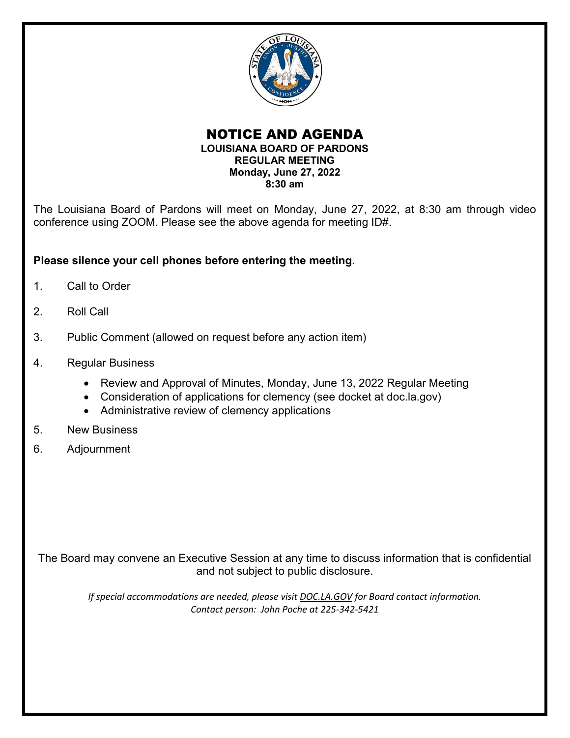

### NOTICE AND AGENDA **LOUISIANA BOARD OF PARDONS REGULAR MEETING Monday, June 27, 2022 8:30 am**

The Louisiana Board of Pardons will meet on Monday, June 27, 2022, at 8:30 am through video conference using ZOOM. Please see the above agenda for meeting ID#.

### **Please silence your cell phones before entering the meeting.**

- 1. Call to Order
- 2. Roll Call
- 3. Public Comment (allowed on request before any action item)
- 4. Regular Business
	- Review and Approval of Minutes, Monday, June 13, 2022 Regular Meeting
	- Consideration of applications for clemency (see docket at doc.la.gov)
	- Administrative review of clemency applications
- 5. New Business
- 6. Adjournment

The Board may convene an Executive Session at any time to discuss information that is confidential and not subject to public disclosure.

*If special accommodations are needed, please visit DOC.LA.GOV for Board contact information. Contact person: John Poche at 225-342-5421*